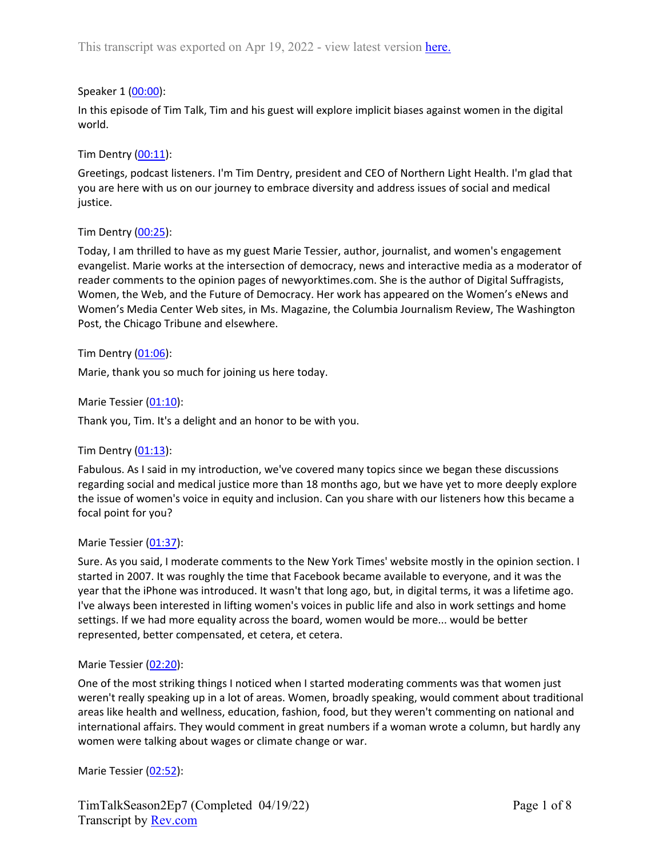## Speaker 1 ([00:00](https://www.rev.com/transcript-editor/Edit?token=QO5v1JG7M0hL3Ufm98zmChX3pnVBGkrOtBbTKHauGNxomaQi8aqfUmZsH6FIhjs3lnVmf1sNB_17xFqObwp-ZjaO7_8&loadFrom=DocumentDeeplink&ts=0.69)):

In this episode of Tim Talk, Tim and his guest will explore implicit biases against women in the digital world.

### Tim Dentry  $(00:11)$  $(00:11)$ :

Greetings, podcast listeners. I'm Tim Dentry, president and CEO of Northern Light Health. I'm glad that you are here with us on our journey to embrace diversity and address issues of social and medical justice.

### Tim Dentry ([00:25\)](https://www.rev.com/transcript-editor/Edit?token=IZfvnx2sdhmjixtrZPjLRvq3NcLGn09A7mcoBZgIgc_KlqAxYDUjmgS60YEyOx3iVYN05RhiBgah5JEadkBI-wWPdU4&loadFrom=DocumentDeeplink&ts=25.92):

Today, I am thrilled to have as my guest Marie Tessier, author, journalist, and women's engagement evangelist. Marie works at the intersection of democracy, news and interactive media as a moderator of reader comments to the opinion pages of newyorktimes.com. She is the author of Digital Suffragists, Women, the Web, and the Future of Democracy. Her work has appeared on the Women's eNews and Women's Media Center Web sites, in Ms. Magazine, the Columbia Journalism Review, The Washington Post, the Chicago Tribune and elsewhere.

#### Tim Dentry ([01:06\)](https://www.rev.com/transcript-editor/Edit?token=QriC27u5orYmU1lSj66_BAe1z9yZdcIXhCo4KKnnVgZCkF1Kgr9cW-7YVFEFImiDI1lRqBoQ-xLsAEnXuNGs0yQlAOo&loadFrom=DocumentDeeplink&ts=66.43):

Marie, thank you so much for joining us here today.

Marie Tessier [\(01:10](https://www.rev.com/transcript-editor/Edit?token=yrKzhP-H9IA0SFvEWRqo6v5zCjbX9vEFs4EwFxvyArWWFUOkLWr5MnHpvz-0Zz7ujEq7hUzqH86v6l8ZY_7VUV9-rg8&loadFrom=DocumentDeeplink&ts=70.17)):

Thank you, Tim. It's a delight and an honor to be with you.

# Tim Dentry ([01:13\)](https://www.rev.com/transcript-editor/Edit?token=AYFKXrbdS89apbDEWEfIMKBDc0alOy-Uy9_jruSL9_ilR_RMUnED1l-i_o8v8ZNr1RnB1t7uzp8JTkpi3Ypr5njUlwY&loadFrom=DocumentDeeplink&ts=73.94):

Fabulous. As I said in my introduction, we've covered many topics since we began these discussions regarding social and medical justice more than 18 months ago, but we have yet to more deeply explore the issue of women's voice in equity and inclusion. Can you share with our listeners how this became a focal point for you?

#### Marie Tessier [\(01:37](https://www.rev.com/transcript-editor/Edit?token=i5pM1xTdJjKP8GM53NXZ-41IoDFblprGqhIlXsCvaAQGCnxCoGxBrtA54ahbbYiQr48GyXlzkuhZU2OY5MfelMfvC_U&loadFrom=DocumentDeeplink&ts=97.25)):

Sure. As you said, I moderate comments to the New York Times' website mostly in the opinion section. I started in 2007. It was roughly the time that Facebook became available to everyone, and it was the year that the iPhone was introduced. It wasn't that long ago, but, in digital terms, it was a lifetime ago. I've always been interested in lifting women's voices in public life and also in work settings and home settings. If we had more equality across the board, women would be more... would be better represented, better compensated, et cetera, et cetera.

#### Marie Tessier [\(02:20](https://www.rev.com/transcript-editor/Edit?token=pznO008av9T7HaNNbCoS3s98mBWKR5c5nF-4leTpLiTd5REbnZAm8B9A98rZnqmhv48NYCOOoPax-oof_miUnBOn7KQ&loadFrom=DocumentDeeplink&ts=140.2)):

One of the most striking things I noticed when I started moderating comments was that women just weren't really speaking up in a lot of areas. Women, broadly speaking, would comment about traditional areas like health and wellness, education, fashion, food, but they weren't commenting on national and international affairs. They would comment in great numbers if a woman wrote a column, but hardly any women were talking about wages or climate change or war.

Marie Tessier [\(02:52](https://www.rev.com/transcript-editor/Edit?token=dLyHZ2dVViA0eeuIT7mirAyk-JGyveFAS6DBY7jVnq9shu6ivuyJUNx39qw0MEIXCedKVEeRGVcszoYutZLfyZVssGM&loadFrom=DocumentDeeplink&ts=172.35)):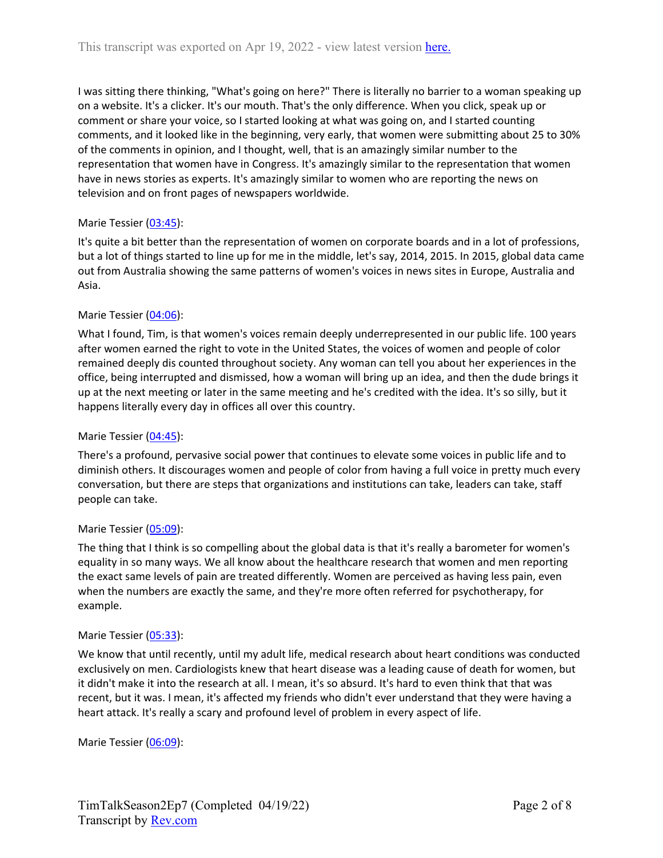I was sitting there thinking, "What's going on here?" There is literally no barrier to a woman speaking up on a website. It's a clicker. It's our mouth. That's the only difference. When you click, speak up or comment or share your voice, so I started looking at what was going on, and I started counting comments, and it looked like in the beginning, very early, that women were submitting about 25 to 30% of the comments in opinion, and I thought, well, that is an amazingly similar number to the representation that women have in Congress. It's amazingly similar to the representation that women have in news stories as experts. It's amazingly similar to women who are reporting the news on television and on front pages of newspapers worldwide.

# Marie Tessier [\(03:45](https://www.rev.com/transcript-editor/Edit?token=31X8m7HaIEfS8ogrNTyv7WLGdhDSAkfRas_RfBBKaooJLpNjkXMVtnt2sYW0z24oDq0_cQvcvtRjwezr9o4caAxtBRA&loadFrom=DocumentDeeplink&ts=225.44)):

It's quite a bit better than the representation of women on corporate boards and in a lot of professions, but a lot of things started to line up for me in the middle, let's say, 2014, 2015. In 2015, global data came out from Australia showing the same patterns of women's voices in news sites in Europe, Australia and Asia.

# Marie Tessier [\(04:06](https://www.rev.com/transcript-editor/Edit?token=SGY5ixFes5itWH7YqRtNVqAIw_qZai-yMHIGRIfnaobRU6QuxqYo5Rk070fs791ZDlp1D01Y379ZJvugQj6QOw4acs4&loadFrom=DocumentDeeplink&ts=246.53)):

What I found, Tim, is that women's voices remain deeply underrepresented in our public life. 100 years after women earned the right to vote in the United States, the voices of women and people of color remained deeply dis counted throughout society. Any woman can tell you about her experiences in the office, being interrupted and dismissed, how a woman will bring up an idea, and then the dude brings it up at the next meeting or later in the same meeting and he's credited with the idea. It's so silly, but it happens literally every day in offices all over this country.

# Marie Tessier [\(04:45](https://www.rev.com/transcript-editor/Edit?token=nb_Cz3Zu7hZjpi4yhQVxXwpJj2V6eCG4SWY35NdIrLcJG-V7twpZTCMOGHGcwyaVhPYBSR4iWZ1CHQs7W_xp_c_4-B4&loadFrom=DocumentDeeplink&ts=285.03)):

There's a profound, pervasive social power that continues to elevate some voices in public life and to diminish others. It discourages women and people of color from having a full voice in pretty much every conversation, but there are steps that organizations and institutions can take, leaders can take, staff people can take.

# Marie Tessier [\(05:09](https://www.rev.com/transcript-editor/Edit?token=LvFqS6O8SlDvW5w9yRdcCcoY8ypTiqTGKzk5u_Of2G4auevmmuQA1cMzK6Rycg1GCLlvYPbOI7cUUnqzXFozZGzkH00&loadFrom=DocumentDeeplink&ts=309.93)):

The thing that I think is so compelling about the global data is that it's really a barometer for women's equality in so many ways. We all know about the healthcare research that women and men reporting the exact same levels of pain are treated differently. Women are perceived as having less pain, even when the numbers are exactly the same, and they're more often referred for psychotherapy, for example.

# Marie Tessier [\(05:33](https://www.rev.com/transcript-editor/Edit?token=RkWWcAnl6sHa3kqGBga8vpAnWo-j0gXjqTqKVAd6hAwg7qzmvgjFsuDnaYA3hQMV88O-JPVgIXlkUku-nwBXXxWC6bI&loadFrom=DocumentDeeplink&ts=333.93)):

We know that until recently, until my adult life, medical research about heart conditions was conducted exclusively on men. Cardiologists knew that heart disease was a leading cause of death for women, but it didn't make it into the research at all. I mean, it's so absurd. It's hard to even think that that was recent, but it was. I mean, it's affected my friends who didn't ever understand that they were having a heart attack. It's really a scary and profound level of problem in every aspect of life.

Marie Tessier [\(06:09](https://www.rev.com/transcript-editor/Edit?token=DtloMFjgDBhMcGBHKziUyc6RUtb_TTwCqMmfXHQQcuPXy7Bc--nMOwpL6jHS83aogEU_yhgszo-trcozSKtmuowGwVk&loadFrom=DocumentDeeplink&ts=369.72)):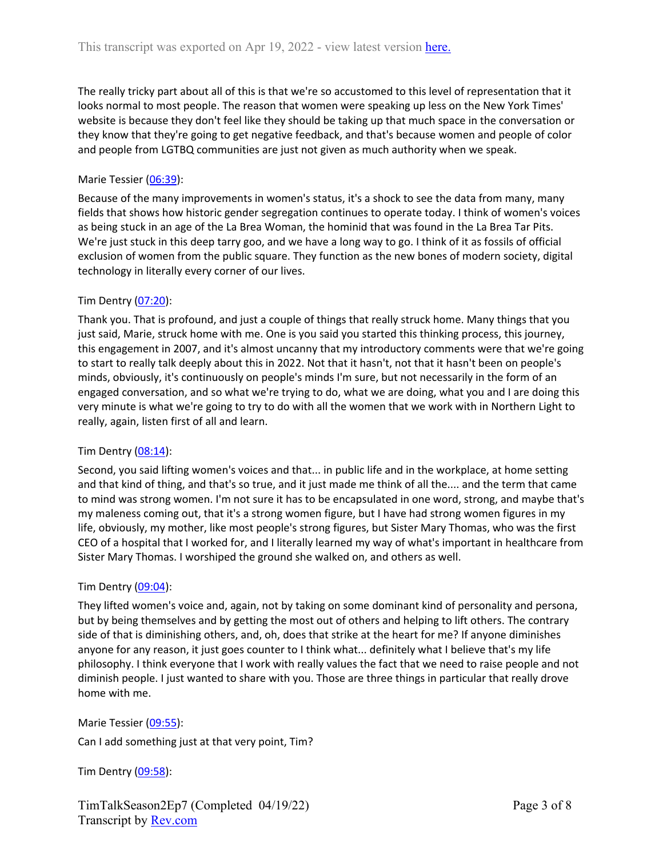The really tricky part about all of this is that we're so accustomed to this level of representation that it looks normal to most people. The reason that women were speaking up less on the New York Times' website is because they don't feel like they should be taking up that much space in the conversation or they know that they're going to get negative feedback, and that's because women and people of color and people from LGTBQ communities are just not given as much authority when we speak.

### Marie Tessier [\(06:39](https://www.rev.com/transcript-editor/Edit?token=EG0G_LP2ElfePfisqjpMlioRud0nuB2vAeYtUuKqUxtCFyvKQJqayEcKUslNaGWoNeg5BqVUzfRd3le3_Dk5T6cAOzE&loadFrom=DocumentDeeplink&ts=399.66)):

Because of the many improvements in women's status, it's a shock to see the data from many, many fields that shows how historic gender segregation continues to operate today. I think of women's voices as being stuck in an age of the La Brea Woman, the hominid that was found in the La Brea Tar Pits. We're just stuck in this deep tarry goo, and we have a long way to go. I think of it as fossils of official exclusion of women from the public square. They function as the new bones of modern society, digital technology in literally every corner of our lives.

### Tim Dentry ([07:20\)](https://www.rev.com/transcript-editor/Edit?token=0dUlvqCKOEWVPb-4O6W9p_dMs_rikprX1ZEoJgJDLa0EykkD3BmJqOVBi8bfyXdLLwJgDRI4F8EwWhxqI-_1u7ZQzZI&loadFrom=DocumentDeeplink&ts=440.04):

Thank you. That is profound, and just a couple of things that really struck home. Many things that you just said, Marie, struck home with me. One is you said you started this thinking process, this journey, this engagement in 2007, and it's almost uncanny that my introductory comments were that we're going to start to really talk deeply about this in 2022. Not that it hasn't, not that it hasn't been on people's minds, obviously, it's continuously on people's minds I'm sure, but not necessarily in the form of an engaged conversation, and so what we're trying to do, what we are doing, what you and I are doing this very minute is what we're going to try to do with all the women that we work with in Northern Light to really, again, listen first of all and learn.

#### Tim Dentry  $(08:14)$  $(08:14)$ :

Second, you said lifting women's voices and that... in public life and in the workplace, at home setting and that kind of thing, and that's so true, and it just made me think of all the.... and the term that came to mind was strong women. I'm not sure it has to be encapsulated in one word, strong, and maybe that's my maleness coming out, that it's a strong women figure, but I have had strong women figures in my life, obviously, my mother, like most people's strong figures, but Sister Mary Thomas, who was the first CEO of a hospital that I worked for, and I literally learned my way of what's important in healthcare from Sister Mary Thomas. I worshiped the ground she walked on, and others as well.

#### Tim Dentry  $(09:04)$  $(09:04)$ :

They lifted women's voice and, again, not by taking on some dominant kind of personality and persona, but by being themselves and by getting the most out of others and helping to lift others. The contrary side of that is diminishing others, and, oh, does that strike at the heart for me? If anyone diminishes anyone for any reason, it just goes counter to I think what... definitely what I believe that's my life philosophy. I think everyone that I work with really values the fact that we need to raise people and not diminish people. I just wanted to share with you. Those are three things in particular that really drove home with me.

#### Marie Tessier [\(09:55](https://www.rev.com/transcript-editor/Edit?token=UNLe5Dy9tmxiW9Z7Xburmy2V9Ij_j7qcPMNNSmoE8Nj6ivzJc9pDg7vlwf41twR9FZcNEF_z65AF7-nrbV5RJhDYwss&loadFrom=DocumentDeeplink&ts=595.69)):

Can I add something just at that very point, Tim?

Tim Dentry ([09:58\)](https://www.rev.com/transcript-editor/Edit?token=3zxyKkqTC-hpZVzEA3kKmnqi4a5qw5dOcw5V_TgQT4fx7sgwvayjtUGrj8UJ_AUSlOkHsPyublqlC4UGEWHvDHF9e2c&loadFrom=DocumentDeeplink&ts=598.37):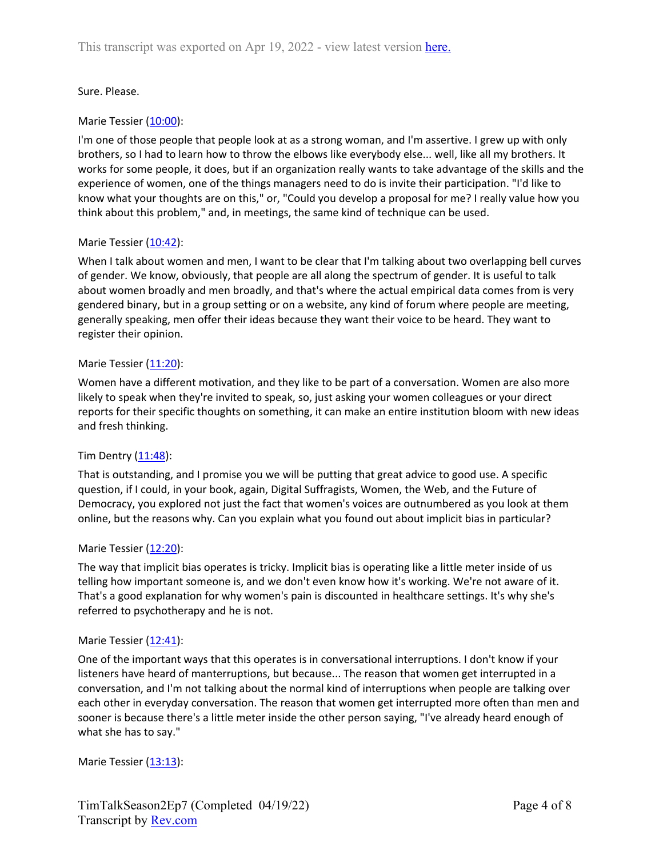### Sure. Please.

### Marie Tessier [\(10:00](https://www.rev.com/transcript-editor/Edit?token=DXsWIhX54zZQQbpX_qTey6uM2JqRj6JhnaaB56m31gYw_9XpGCOHp1bxiLJVPgLGv8tFUSvtevSIMK0XYjk_pM7gvaE&loadFrom=DocumentDeeplink&ts=600.43)):

I'm one of those people that people look at as a strong woman, and I'm assertive. I grew up with only brothers, so I had to learn how to throw the elbows like everybody else... well, like all my brothers. It works for some people, it does, but if an organization really wants to take advantage of the skills and the experience of women, one of the things managers need to do is invite their participation. "I'd like to know what your thoughts are on this," or, "Could you develop a proposal for me? I really value how you think about this problem," and, in meetings, the same kind of technique can be used.

#### Marie Tessier [\(10:42](https://www.rev.com/transcript-editor/Edit?token=ce3SLDwtJauH7xE8qeZKVYkb9pOiA0tucJkzlRGtLYiw5vYJDlC91vB2caxGGE_3LHgjp7Kr_X5HtzM3OuP8fHuhOnI&loadFrom=DocumentDeeplink&ts=642.88)):

When I talk about women and men, I want to be clear that I'm talking about two overlapping bell curves of gender. We know, obviously, that people are all along the spectrum of gender. It is useful to talk about women broadly and men broadly, and that's where the actual empirical data comes from is very gendered binary, but in a group setting or on a website, any kind of forum where people are meeting, generally speaking, men offer their ideas because they want their voice to be heard. They want to register their opinion.

#### Marie Tessier [\(11:20](https://www.rev.com/transcript-editor/Edit?token=0pvyGCK0XYwvPd7hlZp4LbS9oWaz0I71XVzM-PGtV1EoZGzhFTcE2euqxvY41CcQKgFmMo1eCqv6ssFsKOzDPRtMCJM&loadFrom=DocumentDeeplink&ts=680.09)):

Women have a different motivation, and they like to be part of a conversation. Women are also more likely to speak when they're invited to speak, so, just asking your women colleagues or your direct reports for their specific thoughts on something, it can make an entire institution bloom with new ideas and fresh thinking.

#### Tim Dentry  $(11:48)$  $(11:48)$ :

That is outstanding, and I promise you we will be putting that great advice to good use. A specific question, if I could, in your book, again, Digital Suffragists, Women, the Web, and the Future of Democracy, you explored not just the fact that women's voices are outnumbered as you look at them online, but the reasons why. Can you explain what you found out about implicit bias in particular?

#### Marie Tessier [\(12:20](https://www.rev.com/transcript-editor/Edit?token=1A-96-q_7V1AeHwQdT4AWU2Q-ptMw3T0OpkL4lqhRb-kIKUdVd8mWPsj-mvMZ_6Vc9PW9kPtZlROJfj5-ugiX9lpmSI&loadFrom=DocumentDeeplink&ts=740.67)):

The way that implicit bias operates is tricky. Implicit bias is operating like a little meter inside of us telling how important someone is, and we don't even know how it's working. We're not aware of it. That's a good explanation for why women's pain is discounted in healthcare settings. It's why she's referred to psychotherapy and he is not.

#### Marie Tessier [\(12:41](https://www.rev.com/transcript-editor/Edit?token=Ov6g2Dm6AEMV69SV2nh6Pn72hoAUdRRYSNWv6P9fos-mu6mnDJ7GeDksZKR5idB_g_yqDbUWBfMK1IwmbVvpEZSWCT8&loadFrom=DocumentDeeplink&ts=761.22)):

One of the important ways that this operates is in conversational interruptions. I don't know if your listeners have heard of manterruptions, but because... The reason that women get interrupted in a conversation, and I'm not talking about the normal kind of interruptions when people are talking over each other in everyday conversation. The reason that women get interrupted more often than men and sooner is because there's a little meter inside the other person saying, "I've already heard enough of what she has to say."

Marie Tessier [\(13:13](https://www.rev.com/transcript-editor/Edit?token=90PU1fKhH20VGAAvnrqGcBSGA3TminsuiGlCZLFVaZKTFdWL-QTEldh3Tks9ic7EMTUsouZuNu3bEXs631_yuuqIDgo&loadFrom=DocumentDeeplink&ts=793.44)):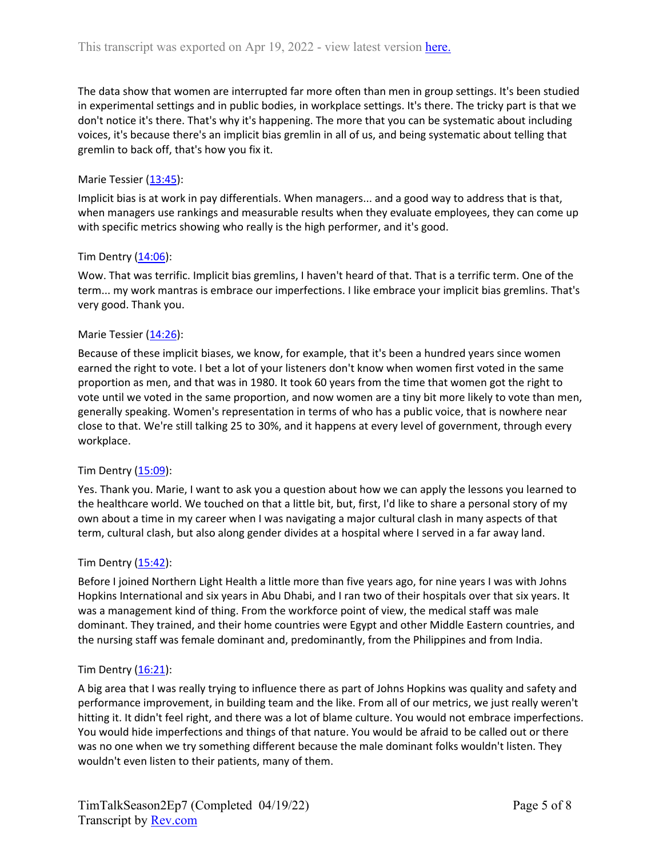The data show that women are interrupted far more often than men in group settings. It's been studied in experimental settings and in public bodies, in workplace settings. It's there. The tricky part is that we don't notice it's there. That's why it's happening. The more that you can be systematic about including voices, it's because there's an implicit bias gremlin in all of us, and being systematic about telling that gremlin to back off, that's how you fix it.

### Marie Tessier [\(13:45](https://www.rev.com/transcript-editor/Edit?token=_xT7dxMjaNlh2Iy8xknex2Akdaq12OtYLf43mjEf4RXTuuua-AQF_fdTezdgePH_KVa48vV-X5gCnIpA8J4ssyosEJ4&loadFrom=DocumentDeeplink&ts=825.05)):

Implicit bias is at work in pay differentials. When managers... and a good way to address that is that, when managers use rankings and measurable results when they evaluate employees, they can come up with specific metrics showing who really is the high performer, and it's good.

#### Tim Dentry ([14:06\)](https://www.rev.com/transcript-editor/Edit?token=neFMKaHwh3889-Rsph9jFYha5VJ1WBHA5cyundI65kBZRW0ftwKDJqHnm6TpGhaxVxvWi4T348aO0xUaoGoJavlrIp4&loadFrom=DocumentDeeplink&ts=846.3):

Wow. That was terrific. Implicit bias gremlins, I haven't heard of that. That is a terrific term. One of the term... my work mantras is embrace our imperfections. I like embrace your implicit bias gremlins. That's very good. Thank you.

#### Marie Tessier [\(14:26](https://www.rev.com/transcript-editor/Edit?token=lzZJgpvEnwX_TD_W0itz2mhyUCG46xn6ChfevU2cwQu6bpMlwq14Yqt_KolZb312j2qSCyWq4Dp2aVe8Jwu4wz230uA&loadFrom=DocumentDeeplink&ts=866.81)):

Because of these implicit biases, we know, for example, that it's been a hundred years since women earned the right to vote. I bet a lot of your listeners don't know when women first voted in the same proportion as men, and that was in 1980. It took 60 years from the time that women got the right to vote until we voted in the same proportion, and now women are a tiny bit more likely to vote than men, generally speaking. Women's representation in terms of who has a public voice, that is nowhere near close to that. We're still talking 25 to 30%, and it happens at every level of government, through every workplace.

#### Tim Dentry  $(15:09)$  $(15:09)$ :

Yes. Thank you. Marie, I want to ask you a question about how we can apply the lessons you learned to the healthcare world. We touched on that a little bit, but, first, I'd like to share a personal story of my own about a time in my career when I was navigating a major cultural clash in many aspects of that term, cultural clash, but also along gender divides at a hospital where I served in a far away land.

#### Tim Dentry ([15:42\)](https://www.rev.com/transcript-editor/Edit?token=e1LjJ-5u781G9t4v2piLtjFo39vRzEAv01wZIMjN184LibxKZE1tvr8Sa7XbX6Ft2-bGWYd-Su8ojYoR35SQhSceicg&loadFrom=DocumentDeeplink&ts=942.52):

Before I joined Northern Light Health a little more than five years ago, for nine years I was with Johns Hopkins International and six years in Abu Dhabi, and I ran two of their hospitals over that six years. It was a management kind of thing. From the workforce point of view, the medical staff was male dominant. They trained, and their home countries were Egypt and other Middle Eastern countries, and the nursing staff was female dominant and, predominantly, from the Philippines and from India.

#### Tim Dentry  $(16:21)$  $(16:21)$ :

A big area that I was really trying to influence there as part of Johns Hopkins was quality and safety and performance improvement, in building team and the like. From all of our metrics, we just really weren't hitting it. It didn't feel right, and there was a lot of blame culture. You would not embrace imperfections. You would hide imperfections and things of that nature. You would be afraid to be called out or there was no one when we try something different because the male dominant folks wouldn't listen. They wouldn't even listen to their patients, many of them.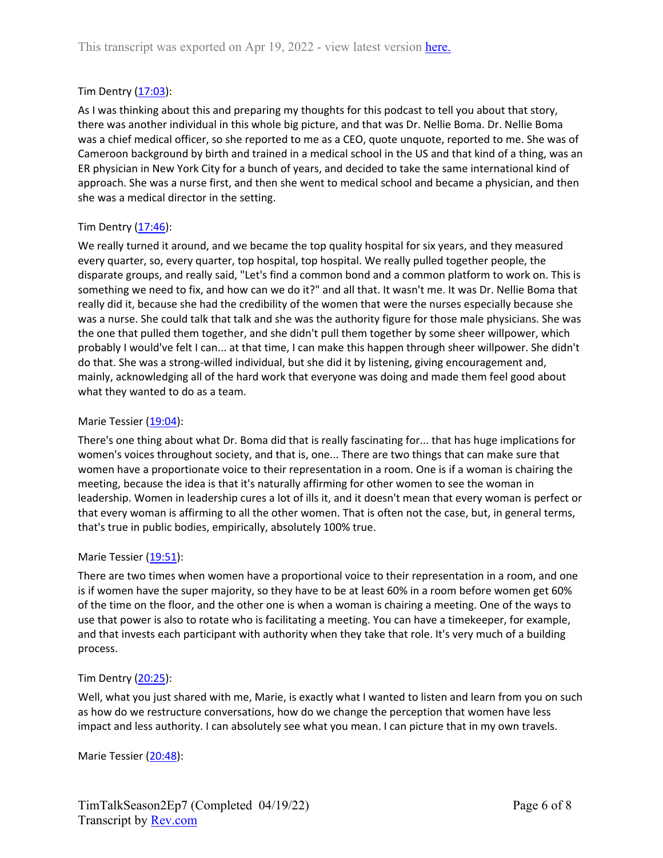### Tim Dentry ([17:03\)](https://www.rev.com/transcript-editor/Edit?token=oqdRWdDsE64ZOILQc2pNyfJj9lgViq0zEhlEwHemsJ4u2caDDWVEtkSyBk9J8t8I885Pg0KiHwMSwhWeaMnmixmdits&loadFrom=DocumentDeeplink&ts=1023.68):

As I was thinking about this and preparing my thoughts for this podcast to tell you about that story, there was another individual in this whole big picture, and that was Dr. Nellie Boma. Dr. Nellie Boma was a chief medical officer, so she reported to me as a CEO, quote unquote, reported to me. She was of Cameroon background by birth and trained in a medical school in the US and that kind of a thing, was an ER physician in New York City for a bunch of years, and decided to take the same international kind of approach. She was a nurse first, and then she went to medical school and became a physician, and then she was a medical director in the setting.

### Tim Dentry  $(17:46)$  $(17:46)$ :

We really turned it around, and we became the top quality hospital for six years, and they measured every quarter, so, every quarter, top hospital, top hospital. We really pulled together people, the disparate groups, and really said, "Let's find a common bond and a common platform to work on. This is something we need to fix, and how can we do it?" and all that. It wasn't me. It was Dr. Nellie Boma that really did it, because she had the credibility of the women that were the nurses especially because she was a nurse. She could talk that talk and she was the authority figure for those male physicians. She was the one that pulled them together, and she didn't pull them together by some sheer willpower, which probably I would've felt I can... at that time, I can make this happen through sheer willpower. She didn't do that. She was a strong-willed individual, but she did it by listening, giving encouragement and, mainly, acknowledging all of the hard work that everyone was doing and made them feel good about what they wanted to do as a team.

#### Marie Tessier [\(19:04](https://www.rev.com/transcript-editor/Edit?token=9gt6bdn7WCUTCawojikWoG6AHzNs-C8niWKElPpX3AZmu92Wv-t-k-x2X-u10tZmMUqyKXDYIxchzQlKvlUhs_axUXk&loadFrom=DocumentDeeplink&ts=1144.31)):

There's one thing about what Dr. Boma did that is really fascinating for... that has huge implications for women's voices throughout society, and that is, one... There are two things that can make sure that women have a proportionate voice to their representation in a room. One is if a woman is chairing the meeting, because the idea is that it's naturally affirming for other women to see the woman in leadership. Women in leadership cures a lot of ills it, and it doesn't mean that every woman is perfect or that every woman is affirming to all the other women. That is often not the case, but, in general terms, that's true in public bodies, empirically, absolutely 100% true.

#### Marie Tessier [\(19:51](https://www.rev.com/transcript-editor/Edit?token=-fHPdaC41TS4mQ_ouAJSdbLmWd6hfae8EM_6kGCyAl4SC4ro3v718TMNcwhWRMszlsXuwuhp1B-7PrFIkZk9slHpFqI&loadFrom=DocumentDeeplink&ts=1191.53)):

There are two times when women have a proportional voice to their representation in a room, and one is if women have the super majority, so they have to be at least 60% in a room before women get 60% of the time on the floor, and the other one is when a woman is chairing a meeting. One of the ways to use that power is also to rotate who is facilitating a meeting. You can have a timekeeper, for example, and that invests each participant with authority when they take that role. It's very much of a building process.

#### Tim Dentry  $(20:25)$  $(20:25)$ :

Well, what you just shared with me, Marie, is exactly what I wanted to listen and learn from you on such as how do we restructure conversations, how do we change the perception that women have less impact and less authority. I can absolutely see what you mean. I can picture that in my own travels.

Marie Tessier [\(20:48](https://www.rev.com/transcript-editor/Edit?token=Hgm1NmWdaMDUyGtKBqDz7J4rBbHwkpRM5uIhexA91jdTHpskBrWwKmE6bOY3dh9IlTm8dU0orjF44rjNrNrS-82q9qc&loadFrom=DocumentDeeplink&ts=1248.42)):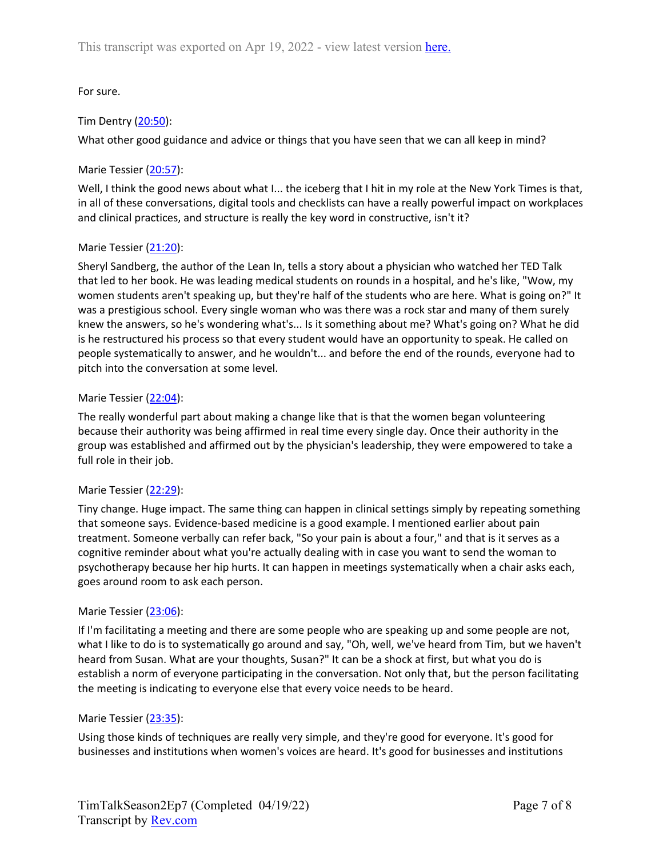# For sure.

# Tim Dentry ([20:50\)](https://www.rev.com/transcript-editor/Edit?token=L-XgA6Yh-oaAuE1imVViLLBbzKBVlkQNpGL5xYyMGkvL3qAv_Lg9qiEfn0gseEGG7mu0qfjqpBzrWDGOqlzEz28agoA&loadFrom=DocumentDeeplink&ts=1250.36):

What other good guidance and advice or things that you have seen that we can all keep in mind?

### Marie Tessier [\(20:57](https://www.rev.com/transcript-editor/Edit?token=oCLxRXC-KOkMwpk7Qe0QMDt_xO9vpfmKIFbYZlcPQ7MAivLp6Whic9qCK5dfOT9-0aaQjepZlzl5l8PhrKur3fG-j4w&loadFrom=DocumentDeeplink&ts=1257.75)):

Well, I think the good news about what I... the iceberg that I hit in my role at the New York Times is that, in all of these conversations, digital tools and checklists can have a really powerful impact on workplaces and clinical practices, and structure is really the key word in constructive, isn't it?

### Marie Tessier [\(21:20](https://www.rev.com/transcript-editor/Edit?token=VRYq7_alAyxwLb88sxolEke45CanmwanGviCYaQXm8eIkMDGTKWfRONBWL2XcYuYievUCk6ot45uBEgvVboAVGVNeVs&loadFrom=DocumentDeeplink&ts=1280.16)):

Sheryl Sandberg, the author of the Lean In, tells a story about a physician who watched her TED Talk that led to her book. He was leading medical students on rounds in a hospital, and he's like, "Wow, my women students aren't speaking up, but they're half of the students who are here. What is going on?" It was a prestigious school. Every single woman who was there was a rock star and many of them surely knew the answers, so he's wondering what's... Is it something about me? What's going on? What he did is he restructured his process so that every student would have an opportunity to speak. He called on people systematically to answer, and he wouldn't... and before the end of the rounds, everyone had to pitch into the conversation at some level.

#### Marie Tessier [\(22:04](https://www.rev.com/transcript-editor/Edit?token=CFOE7dL3rI1LR6nqXwvcZZyp5722OMz21O2zxLniEsOlnGbVmlPyKxM1aXVqMYOlo1EErNlRNyg2wD5OhbCD8-N3PBI&loadFrom=DocumentDeeplink&ts=1324.9)):

The really wonderful part about making a change like that is that the women began volunteering because their authority was being affirmed in real time every single day. Once their authority in the group was established and affirmed out by the physician's leadership, they were empowered to take a full role in their job.

#### Marie Tessier [\(22:29](https://www.rev.com/transcript-editor/Edit?token=2rqq8ujf_Rp7ZBQS2mWDDmCg_bV6-78WWhIEL5pO82Bp7HhfbAyYcMh_ejoEPS3g_EygF2s30k1crxzEhpqsppOp4zs&loadFrom=DocumentDeeplink&ts=1349.5)):

Tiny change. Huge impact. The same thing can happen in clinical settings simply by repeating something that someone says. Evidence-based medicine is a good example. I mentioned earlier about pain treatment. Someone verbally can refer back, "So your pain is about a four," and that is it serves as a cognitive reminder about what you're actually dealing with in case you want to send the woman to psychotherapy because her hip hurts. It can happen in meetings systematically when a chair asks each, goes around room to ask each person.

#### Marie Tessier [\(23:06](https://www.rev.com/transcript-editor/Edit?token=DiSrGVDjCkOzV0si8VeX3R5i85RT8GFgQfIrblYWfO77nQH0Bgj2E9JoImt8trJdMvAvk--PnTFjfgldb6JyBJEbnRI&loadFrom=DocumentDeeplink&ts=1386.19)):

If I'm facilitating a meeting and there are some people who are speaking up and some people are not, what I like to do is to systematically go around and say, "Oh, well, we've heard from Tim, but we haven't heard from Susan. What are your thoughts, Susan?" It can be a shock at first, but what you do is establish a norm of everyone participating in the conversation. Not only that, but the person facilitating the meeting is indicating to everyone else that every voice needs to be heard.

#### Marie Tessier [\(23:35](https://www.rev.com/transcript-editor/Edit?token=MhRortplJ70QhtWQqeibVupVrISVFGUKu9X1RGwoDa0AiiKN3zOJcZ3sWKJSkO5ZlOvS8iNjdEJPEi166nRRzqSfXig&loadFrom=DocumentDeeplink&ts=1415.17)):

Using those kinds of techniques are really very simple, and they're good for everyone. It's good for businesses and institutions when women's voices are heard. It's good for businesses and institutions